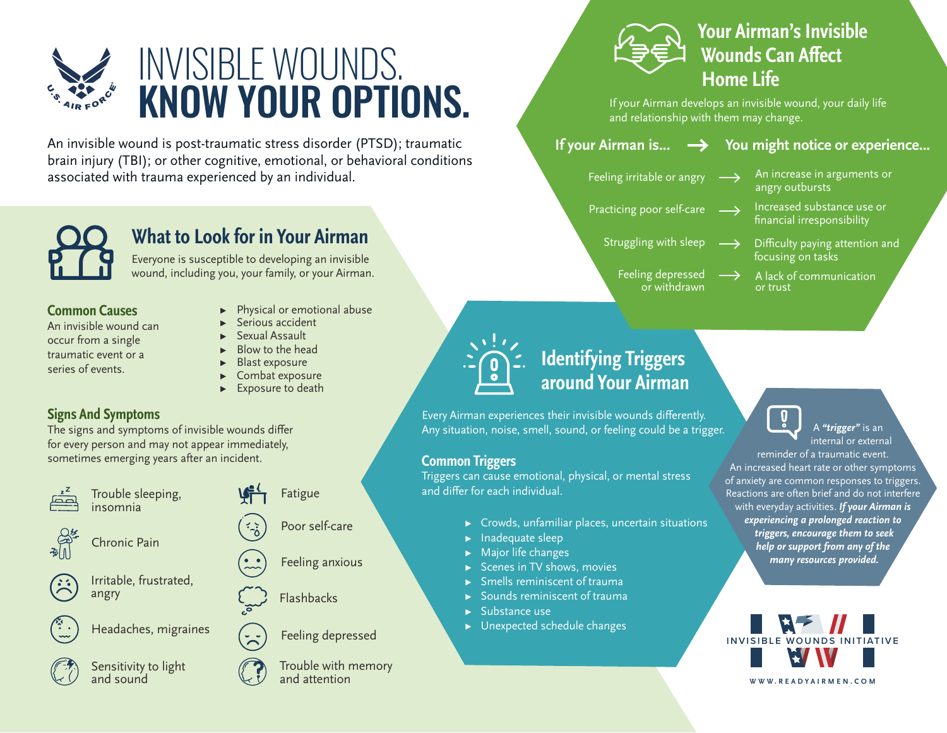

An invisible wound is post-traumatic stress disorder (PTSD); traumatic brain injury (TBI); or other cognitive, emotional, or behavioral conditions associated with trauma experienced by an individual.



## **What to Look for in Your Airman**

Everyone is susceptible to developing an invisible wound, including you, your family, or your Airman.

#### **Common Causes**

An invisible wound can occur from a single traumatic event or a series of events.

- ▸ Physical or emotional abuse
- Serious accident
- ▸ Sexual Assault
- Blow to the head
- **Blast exposure**
- Combat exposure
- Exposure to death

### **Signs And Symptoms**

The signs and symptoms of invisible wounds differ for every person and may not appear immediately, sometimes emerging years after an incident.



Trouble sleeping, insomnia











Headaches, migraines



Sensitivity to light and sound

Poor self-care Fatigue

Feeling anxious

Feeling depressed

Trouble with memory and attention

## **Your Airman's Invisible Wounds Can Affect Home Life**

If your Airman develops an invisible wound, your daily life and relationship with them may change.

## **If your Airman is...**  $\rightarrow$  **You might notice or experience...**

- Feeling irritable or angry
- Practicing poor self-care  $\longrightarrow$  Increased substance use or
- An increase in arguments or angry outbursts
	- financial irresponsibility

or trust

- 
- Struggling with sleep  $\longrightarrow$  Difficulty paying attention and focusing on tasks
	- Feeling depressed or withdrawn
- $\longrightarrow$ A lack of communication



## **Identifying Triggers around Your Airman**

PHYSICALLY FIT.

Every Airman experiences their invisible wounds differently. Any situation, noise, smell, sound, or feeling could be a trigger.

#### **Common Triggers**

Triggers can cause emotional, physical, or mental stress and differ for each individual.

- $\triangleright$  Crowds, unfamiliar places, uncertain situations
- ▸ Inadequate sleep
- ▸ Major life changes
- ▶ Scenes in TV shows, movies
- ▸ Smells reminiscent of trauma
- ▸ Sounds reminiscent of trauma
- ▸ Substance use
- $\blacktriangleright$  Unexpected schedule changes

 $\mathbf{0}$ 

 A *"trigger"* is an internal or external

reminder of a traumatic event. An increased heart rate or other symptoms of anxiety are common responses to triggers. Reactions are often brief and do not interfere with everyday activities. *If your Airman is experiencing a prolonged reaction to triggers, encourage them to seek help or support from any of the many resources provided.* 



angry  $\{\cdots\}$  Flashbacks